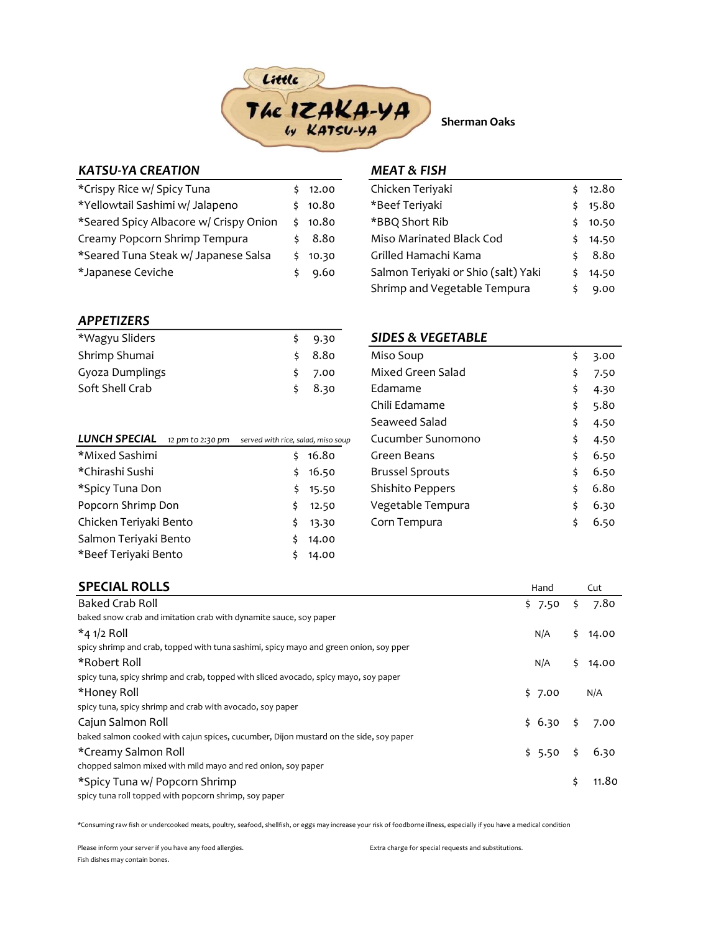

Sherman Oaks

## KATSU-YA CREATION

| *Crispy Rice w/ Spicy Tuna             |    | 12.00   |
|----------------------------------------|----|---------|
| *Yellowtail Sashimi w/ Jalapeno        |    | \$10.80 |
| *Seared Spicy Albacore w/ Crispy Onion |    | \$10.80 |
| Creamy Popcorn Shrimp Tempura          |    | 8.80    |
| *Seared Tuna Steak w/ Japanese Salsa   |    | 10.30   |
| *Japanese Ceviche                      | Ś. | 9.60    |

### MEAT & FISH

| Chicken Teriyaki                    |    | 12.80 |
|-------------------------------------|----|-------|
| *Beef Teriyaki                      | Ś  | 15.80 |
| *BBQ Short Rib                      | Ś  | 10.50 |
| Miso Marinated Black Cod            | \$ | 14.50 |
| Grilled Hamachi Kama                | Ś  | 8.80  |
| Salmon Teriyaki or Shio (salt) Yaki |    | 14.50 |
| Shrimp and Vegetable Tempura        |    | 9.00  |

### APPETIZERS

| *Wagyu Sliders  | \$9.30 |
|-----------------|--------|
| Shrimp Shumai   | \$8.80 |
| Gyoza Dumplings | \$7.00 |
| Soft Shell Crab | \$8.30 |

| LUNCH SPECIAL          | 12 pm to 2:30 pm | served with rice, salad, miso soup |       |
|------------------------|------------------|------------------------------------|-------|
| *Mixed Sashimi         |                  |                                    | 16.80 |
| *Chirashi Sushi        |                  | Ś                                  | 16.50 |
| *Spicy Tuna Don        |                  | Ś                                  | 15.50 |
| Popcorn Shrimp Don     |                  | Ś                                  | 12.50 |
| Chicken Teriyaki Bento |                  | \$                                 | 13.30 |
| Salmon Teriyaki Bento  |                  | \$                                 | 14.00 |
| *Beef Teriyaki Bento   |                  |                                    | 14.00 |
|                        |                  |                                    |       |

#### SIDES & VEGETABLE

| Miso Soup              | \$<br>3.00 |
|------------------------|------------|
| Mixed Green Salad      | \$<br>7.50 |
| Fdamame                | \$<br>4.30 |
| Chili Edamame          | \$<br>5.80 |
| Seaweed Salad          | \$<br>4.50 |
| Cucumber Sunomono      | \$<br>4.50 |
| Green Beans            | \$<br>6.50 |
| <b>Brussel Sprouts</b> | \$<br>6.50 |
| Shishito Peppers       | \$<br>6.80 |
| Vegetable Tempura      | \$<br>6.30 |
| Corn Tempura           | \$<br>6.50 |
|                        |            |

| <b>SPECIAL ROLLS</b>                                                                  | Hand   | Cut         |
|---------------------------------------------------------------------------------------|--------|-------------|
| <b>Baked Crab Roll</b>                                                                | \$7.50 | \$<br>7.80  |
| baked snow crab and imitation crab with dynamite sauce, soy paper                     |        |             |
| $*$ 4 1/2 Roll                                                                        | N/A    | \$<br>14.00 |
| spicy shrimp and crab, topped with tuna sashimi, spicy mayo and green onion, soy pper |        |             |
| *Robert Roll                                                                          | N/A    | \$<br>14.00 |
| spicy tuna, spicy shrimp and crab, topped with sliced avocado, spicy mayo, soy paper  |        |             |
| *Honey Roll                                                                           | \$7.00 | N/A         |
| spicy tuna, spicy shrimp and crab with avocado, soy paper                             |        |             |
| Cajun Salmon Roll                                                                     | \$6.30 | \$<br>7.00  |
| baked salmon cooked with cajun spices, cucumber, Dijon mustard on the side, soy paper |        |             |
| *Creamy Salmon Roll                                                                   | \$5.50 | \$<br>6.30  |
| chopped salmon mixed with mild mayo and red onion, soy paper                          |        |             |
| *Spicy Tuna w/ Popcorn Shrimp                                                         |        | \$<br>11.80 |
| spicy tuna roll topped with popcorn shrimp, soy paper                                 |        |             |

\*Consuming raw fish or undercooked meats, poultry, seafood, shellfish, or eggs may increase your risk of foodborne illness, especially if you have a medical condition

Please inform your server if you have any food allergies. The extra charge for special requests and substitutions. Fish dishes may contain bones.